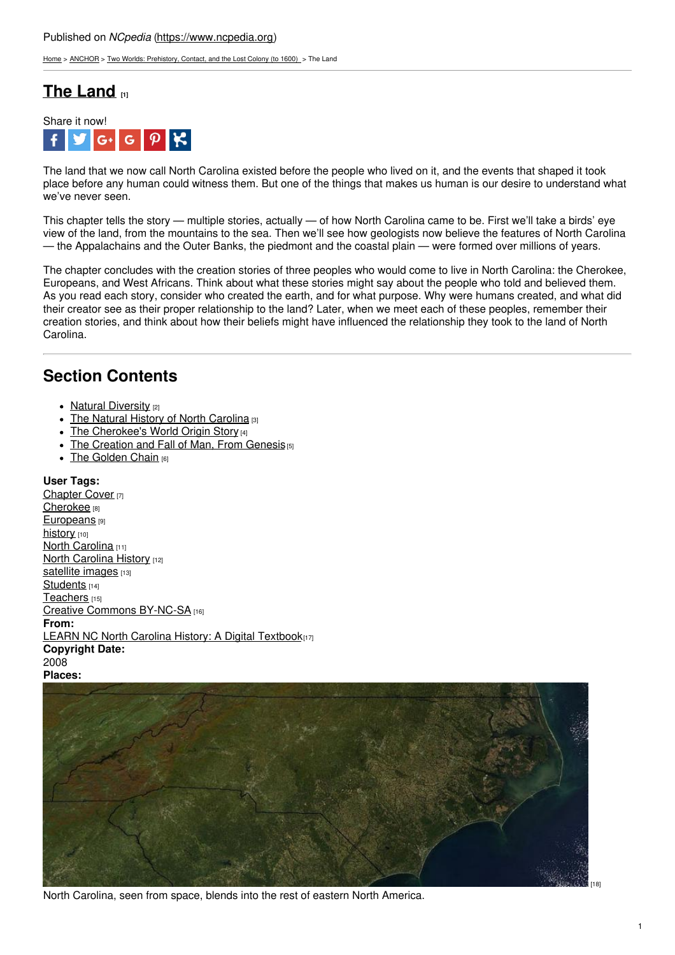[Home](https://www.ncpedia.org/) > [ANCHOR](https://www.ncpedia.org/anchor/anchor) > Two Worlds: [Prehistory,](https://www.ncpedia.org/anchor/two-worlds-prehistory) Contact, and the Lost Colony (to 1600) > The Land

# **The [Land](https://www.ncpedia.org/anchor/land) [1]**



The land that we now call North Carolina existed before the people who lived on it, and the events that shaped it took place before any human could witness them. But one of the things that makes us human is our desire to understand what we've never seen.

This chapter tells the story — multiple stories, actually — of how North Carolina came to be. First we'll take a birds' eye view of the land, from the mountains to the sea. Then we'll see how geologists now believe the features of North Carolina — the Appalachains and the Outer Banks, the piedmont and the coastal plain — were formed over millions of years.

The chapter concludes with the creation stories of three peoples who would come to live in North Carolina: the Cherokee, Europeans, and West Africans. Think about what these stories might say about the people who told and believed them. As you read each story, consider who created the earth, and for what purpose. Why were humans created, and what did their creator see as their proper rel[ationship](http://www.social9.com) to the land? Later, when we meet each of these peoples, remember their creation stories, and think about how their beliefs might have influenced the relationship they took to the land of North Carolina.

## **Section Contents**

- Natural [Diversity](https://www.ncpedia.org/anchor/natural-diversity) [2]
- The Natural History of North [Carolina](https://www.ncpedia.org/anchor/natural-history-north) [3]
- The [Cherokee's](https://www.ncpedia.org/anchor/cherokees-world-origin-story) World Origin Story [4]
- The [Creation](https://www.ncpedia.org/anchor/creation-and-fall-man) and Fall of Man, From Genesis<sup>[5]</sup>
- The [Golden](https://www.ncpedia.org/anchor/golden-chain) Chain [6]

### **User Tags:**

[Chapter](https://www.ncpedia.org/category/user-tags/chapter-cover) Cover [7] [Cherokee](https://www.ncpedia.org/category/user-tags/cherokee) [8] [Europeans](https://www.ncpedia.org/category/user-tags/europeans) [9] [history](https://www.ncpedia.org/category/user-tags/history) [10] North [Carolina](https://www.ncpedia.org/category/user-tags/north-carolina-5) [11] North [Carolina](https://www.ncpedia.org/category/user-tags/north-carolina-6) History [12] [satellite](https://www.ncpedia.org/category/user-tags/satellite-images) images [13] [Students](https://www.ncpedia.org/category/user-tags/students) [14] [Teachers](https://www.ncpedia.org/category/user-tags/teachers) [15] Creative Commons [BY-NC-SA](https://www.ncpedia.org/category/user-tags/creative-commons) [16] **From:** LEARN NC North Carolina History: A Digital [Textbook](https://www.ncpedia.org/category/entry-source/learn-nc)[17] **Copyright Date:** 2008 **Places:**



North Carolina, seen from space, blends into the rest of eastern North America.